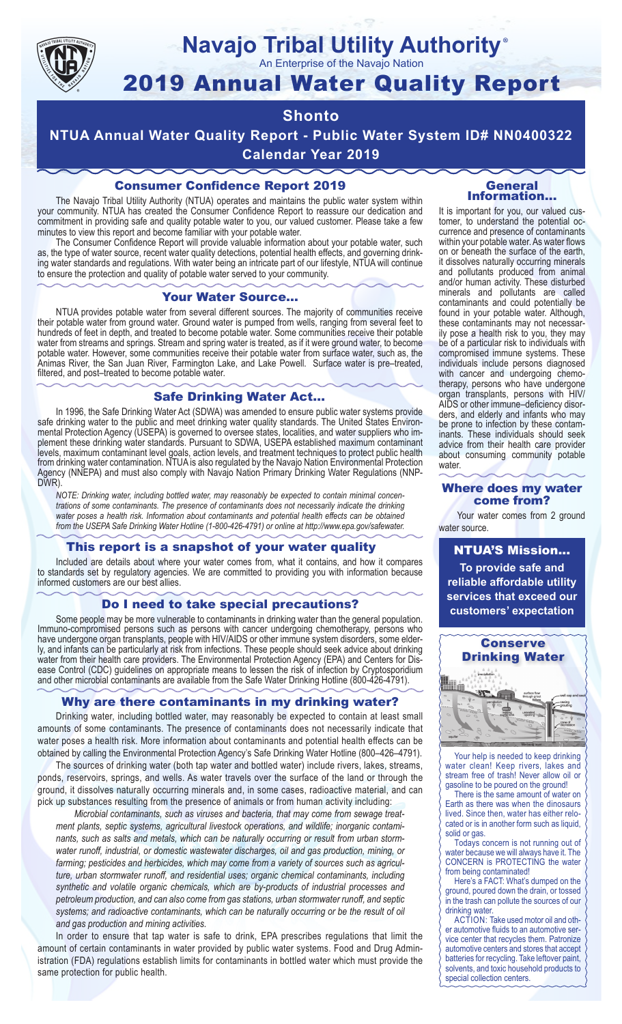

## **Navajo Tribal Utility Authority**

An Enterprise of the Navajo Nation

## 2019 Annual Water Quality Report

#### **Shonto**

**NTUA Annual Water Quality Report - Public Water System ID# NN0400322 Calendar Year 2019**

#### Consumer Confidence Report 2019

The Navajo Tribal Utility Authority (NTUA) operates and maintains the public water system within your community. NTUA has created the Consumer Confidence Report to reassure our dedication and commitment in providing safe and quality potable water to you, our valued customer. Please take a few minutes to view this report and become familiar with your potable water.

The Consumer Confidence Report will provide valuable information about your potable water, such as, the type of water source, recent water quality detections, potential health effects, and governing drinking water standards and regulations. With water being an intricate part of our lifestyle, NTUA will continue to ensure the protection and quality of potable water served to your community.

#### Your Water Source…

NTUA provides potable water from several different sources. The majority of communities receive their potable water from ground water. Ground water is pumped from wells, ranging from several feet to hundreds of feet in depth, and treated to become potable water. Some communities receive their potable water from streams and springs. Stream and spring water is treated, as if it were ground water, to become potable water. However, some communities receive their potable water from surface water, such as, the Animas River, the San Juan River, Farmington Lake, and Lake Powell. Surface water is pre–treated, filtered, and post–treated to become potable water.

#### Safe Drinking Water Act…

In 1996, the Safe Drinking Water Act (SDWA) was amended to ensure public water systems provide safe drinking water to the public and meet drinking water quality standards. The United States Environmental Protection Agency (USEPA) is governed to oversee states, localities, and water suppliers who implement these drinking water standards. Pursuant to SDWA, USEPA established maximum contaminant levels, maximum contaminant level goals, action levels, and treatment techniques to protect public health from drinking water contamination. NTUA is also regulated by the Navajo Nation Environmental Protection Agency (NNEPA) and must also comply with Navajo Nation Primary Drinking Water Regulations (NNP-DWR)

*NOTE: Drinking water, including bottled water, may reasonably be expected to contain minimal concentrations of some contaminants. The presence of contaminants does not necessarily indicate the drinking water poses a health risk. Information about contaminants and potential health effects can be obtained from the USEPA Safe Drinking Water Hotline (1-800-426-4791) or online at http://www.epa.gov/safewater.*

#### This report is a snapshot of your water quality

Included are details about where your water comes from, what it contains, and how it compares to standards set by regulatory agencies. We are committed to providing you with information because informed customers are our best allies.

#### Do I need to take special precautions?

Some people may be more vulnerable to contaminants in drinking water than the general population. Immuno-compromised persons such as persons with cancer undergoing chemotherapy, persons who have undergone organ transplants, people with HIV/AIDS or other immune system disorders, some elderly, and infants can be particularly at risk from infections. These people should seek advice about drinking water from their health care providers. The Environmental Protection Agency (EPA) and Centers for Disease Control (CDC) guidelines on appropriate means to lessen the risk of infection by Cryptosporidium and other microbial contaminants are available from the Safe Water Drinking Hotline (800-426-4791).

#### Why are there contaminants in my drinking water?

Drinking water, including bottled water, may reasonably be expected to contain at least small amounts of some contaminants. The presence of contaminants does not necessarily indicate that water poses a health risk. More information about contaminants and potential health effects can be obtained by calling the Environmental Protection Agency's Safe Drinking Water Hotline (800–426–4791).

The sources of drinking water (both tap water and bottled water) include rivers, lakes, streams, ponds, reservoirs, springs, and wells. As water travels over the surface of the land or through the ground, it dissolves naturally occurring minerals and, in some cases, radioactive material, and can pick up substances resulting from the presence of animals or from human activity including:

*Microbial contaminants, such as viruses and bacteria, that may come from sewage treatment plants, septic systems, agricultural livestock operations, and wildlife; inorganic contaminants, such as salts and metals, which can be naturally occurring or result from urban stormwater runoff, industrial, or domestic wastewater discharges, oil and gas production, mining, or farming; pesticides and herbicides, which may come from a variety of sources such as agriculture, urban stormwater runoff, and residential uses; organic chemical contaminants, including synthetic and volatile organic chemicals, which are by-products of industrial processes and petroleum production, and can also come from gas stations, urban stormwater runoff, and septic systems; and radioactive contaminants, which can be naturally occurring or be the result of oil and gas production and mining activities.*

In order to ensure that tap water is safe to drink, EPA prescribes regulations that limit the amount of certain contaminants in water provided by public water systems. Food and Drug Administration (FDA) regulations establish limits for contaminants in bottled water which must provide the same protection for public health.

#### General Information…

®

It is important for you, our valued customer, to understand the potential occurrence and presence of contaminants within your potable water. As water flows on or beneath the surface of the earth, it dissolves naturally occurring minerals and pollutants produced from animal and/or human activity. These disturbed minerals and pollutants are called contaminants and could potentially be found in your potable water. Although, these contaminants may not necessarily pose a health risk to you, they may be of a particular risk to individuals with compromised immune systems. These individuals include persons diagnosed with cancer and undergoing chemo-<br>therapy, persons who have undergone organ transplants, persons with HIV/ AIDS or other immune–deficiency disor- ders, and elderly and infants who may be prone to infection by these contam- inants. These individuals should seek advice from their health care provider about consuming community potable water.

#### Where does my water come from?

Your water comes from 2 ground water source.

NTUA'S Mission... **To provide safe and reliable affordable utility services that exceed our customers' expectation**



Your help is needed to keep drinking water clean! Keep rivers, lakes and stream free of trash! Never allow oil or gasoline to be poured on the ground!

There is the same amount of water on Earth as there was when the dinosaurs lived. Since then, water has either relocated or is in another form such as liquid, solid or gas.

Todays concern is not running out of water because we will always have it. The CONCERN is PROTECTING the water from being contaminated!

Here's a FACT: What's dumped on the ground, poured down the drain, or tossed in the trash can pollute the sources of our drinking water.

ACTION: Take used motor oil and other automotive fluids to an automotive service center that recycles them. Patronize automotive centers and stores that accept batteries for recycling. Take leftover paint, solvents, and toxic household products to special collection centers.